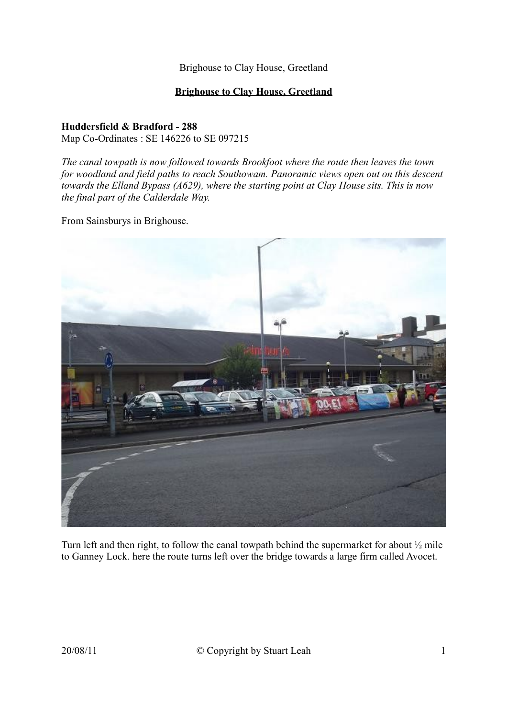#### **Brighouse to Clay House, Greetland**

#### **Huddersfield & Bradford - 288** Map Co-Ordinates : SE 146226 to SE 097215

*The canal towpath is now followed towards Brookfoot where the route then leaves the town for woodland and field paths to reach Southowam. Panoramic views open out on this descent towards the Elland Bypass (A629), where the starting point at Clay House sits. This is now the final part of the Calderdale Way.*

From Sainsburys in Brighouse.



Turn left and then right, to follow the canal towpath behind the supermarket for about ½ mile to Ganney Lock. here the route turns left over the bridge towards a large firm called Avocet.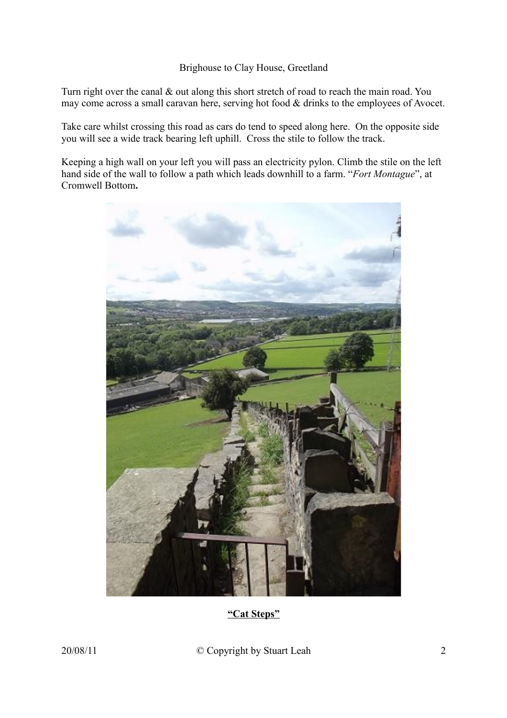Turn right over the canal  $\&$  out along this short stretch of road to reach the main road. You may come across a small caravan here, serving hot food & drinks to the employees of Avocet.

Take care whilst crossing this road as cars do tend to speed along here. On the opposite side you will see a wide track bearing left uphill. Cross the stile to follow the track.

Keeping a high wall on your left you will pass an electricity pylon. Climb the stile on the left hand side of the wall to follow a path which leads downhill to a farm. "*Fort Montague*", at Cromwell Bottom**.**



**"Cat Steps"**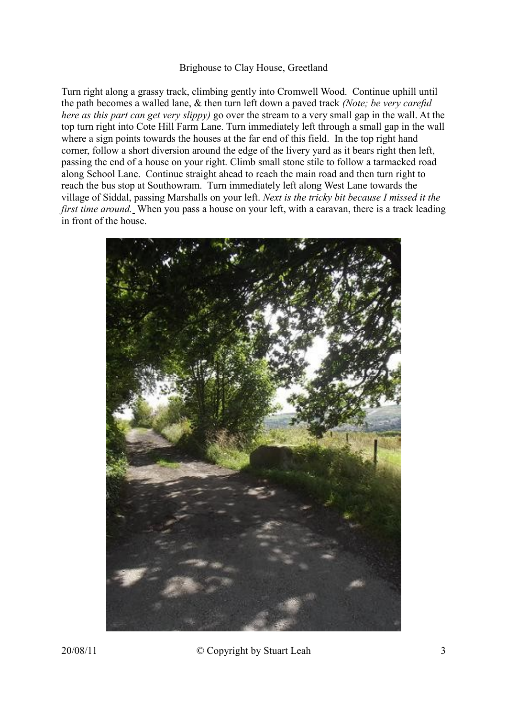Turn right along a grassy track, climbing gently into Cromwell Wood. Continue uphill until the path becomes a walled lane, & then turn left down a paved track *(Note; be very careful here as this part can get very slippy)* go over the stream to a very small gap in the wall. At the top turn right into Cote Hill Farm Lane. Turn immediately left through a small gap in the wall where a sign points towards the houses at the far end of this field. In the top right hand corner, follow a short diversion around the edge of the livery yard as it bears right then left, passing the end of a house on your right. Climb small stone stile to follow a tarmacked road along School Lane. Continue straight ahead to reach the main road and then turn right to reach the bus stop at Southowram. Turn immediately left along West Lane towards the village of Siddal, passing Marshalls on your left. *Next is the tricky bit because I missed it the first time around*. When you pass a house on your left, with a caravan, there is a track leading in front of the house.



20/08/11 © Copyright by Stuart Leah 3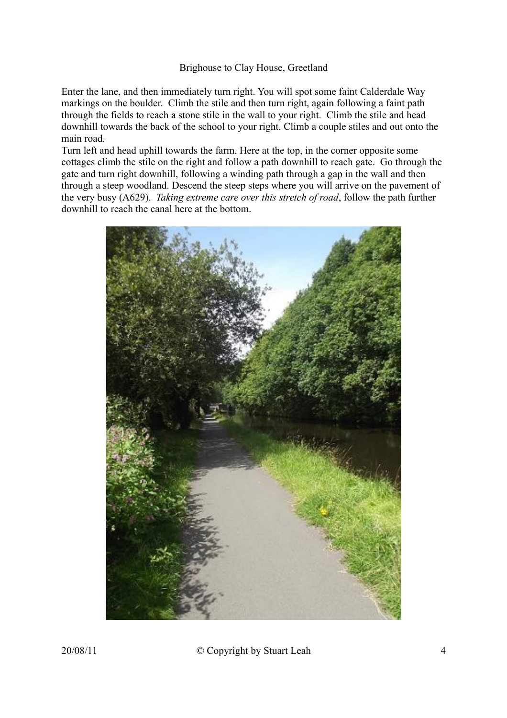Enter the lane, and then immediately turn right. You will spot some faint Calderdale Way markings on the boulder. Climb the stile and then turn right, again following a faint path through the fields to reach a stone stile in the wall to your right. Climb the stile and head downhill towards the back of the school to your right. Climb a couple stiles and out onto the main road.

Turn left and head uphill towards the farm. Here at the top, in the corner opposite some cottages climb the stile on the right and follow a path downhill to reach gate. Go through the gate and turn right downhill, following a winding path through a gap in the wall and then through a steep woodland. Descend the steep steps where you will arrive on the pavement of the very busy (A629). *Taking extreme care over this stretch of road*, follow the path further downhill to reach the canal here at the bottom.

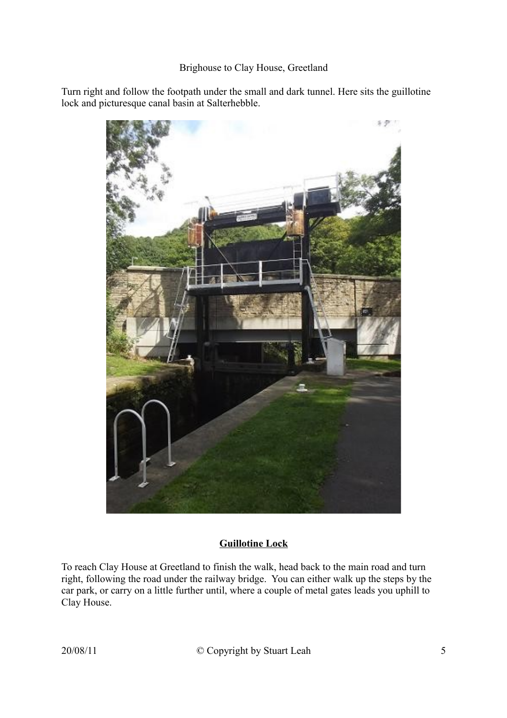Turn right and follow the footpath under the small and dark tunnel. Here sits the guillotine lock and picturesque canal basin at Salterhebble.



## **Guillotine Lock**

To reach Clay House at Greetland to finish the walk, head back to the main road and turn right, following the road under the railway bridge. You can either walk up the steps by the car park, or carry on a little further until, where a couple of metal gates leads you uphill to Clay House.